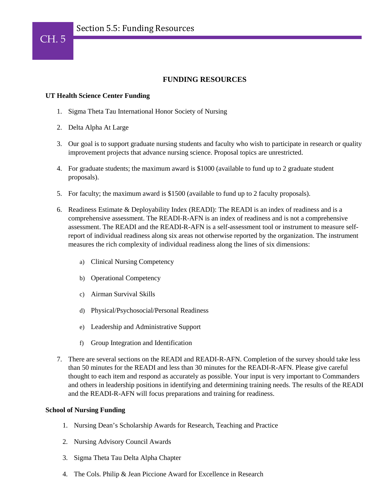## **FUNDING RESOURCES**

## **UT Health Science Center Funding**

- 1. Sigma Theta Tau International Honor Society of Nursing
- 2. Delta Alpha At Large
- 3. Our goal is to support graduate nursing students and faculty who wish to participate in research or quality improvement projects that advance nursing science. Proposal topics are unrestricted.
- 4. For graduate students; the maximum award is \$1000 (available to fund up to 2 graduate student proposals).
- 5. For faculty; the maximum award is \$1500 (available to fund up to 2 faculty proposals).
- 6. Readiness Estimate & Deployability Index (READI): The READI is an index of readiness and is a comprehensive assessment. The READI-R-AFN is an index of readiness and is not a comprehensive assessment. The READI and the READI-R-AFN is a self-assessment tool or instrument to measure selfreport of individual readiness along six areas not otherwise reported by the organization. The instrument measures the rich complexity of individual readiness along the lines of six dimensions:
	- a) Clinical Nursing Competency
	- b) Operational Competency
	- c) Airman Survival Skills
	- d) Physical/Psychosocial/Personal Readiness
	- e) Leadership and Administrative Support
	- f) Group Integration and Identification
- 7. There are several sections on the READI and READI-R-AFN. Completion of the survey should take less than 50 minutes for the READI and less than 30 minutes for the READI-R-AFN. Please give careful thought to each item and respond as accurately as possible. Your input is very important to Commanders and others in leadership positions in identifying and determining training needs. The results of the READI and the READI-R-AFN will focus preparations and training for readiness.

## **School of Nursing Funding**

- 1. Nursing Dean's Scholarship Awards for Research, Teaching and Practice
- 2. Nursing Advisory Council Awards
- 3. Sigma Theta Tau Delta Alpha Chapter
- 4. The Cols. Philip & Jean Piccione Award for Excellence in Research